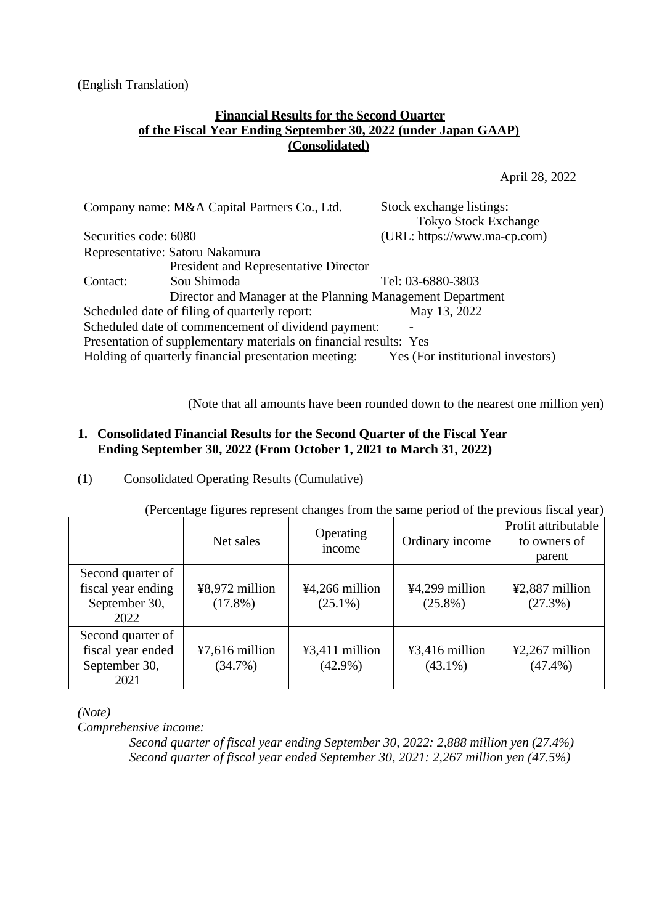(English Translation)

## **Financial Results for the Second Quarter of the Fiscal Year Ending September 30, 2022 (under Japan GAAP) (Consolidated)**

April 28, 2022

|                       | Company name: M&A Capital Partners Co., Ltd.                      | Stock exchange listings:<br><b>Tokyo Stock Exchange</b> |
|-----------------------|-------------------------------------------------------------------|---------------------------------------------------------|
| Securities code: 6080 |                                                                   | (URL: https://www.ma-cp.com)                            |
|                       | Representative: Satoru Nakamura                                   |                                                         |
|                       | President and Representative Director                             |                                                         |
| Contact:              | Sou Shimoda                                                       | Tel: 03-6880-3803                                       |
|                       | Director and Manager at the Planning Management Department        |                                                         |
|                       | Scheduled date of filing of quarterly report:                     | May 13, 2022                                            |
|                       | Scheduled date of commencement of dividend payment:               |                                                         |
|                       | Presentation of supplementary materials on financial results: Yes |                                                         |
|                       | Holding of quarterly financial presentation meeting:              | Yes (For institutional investors)                       |

(Note that all amounts have been rounded down to the nearest one million yen)

# **1. Consolidated Financial Results for the Second Quarter of the Fiscal Year Ending September 30, 2022 (From October 1, 2021 to March 31, 2022)**

(1) Consolidated Operating Results (Cumulative)

|                                                                  | Net sales                      | Operating<br>income          | Ordinary income                | Profit attributable<br>to owners of<br>parent |
|------------------------------------------------------------------|--------------------------------|------------------------------|--------------------------------|-----------------------------------------------|
| Second quarter of<br>fiscal year ending<br>September 30,<br>2022 | ¥8,972 million<br>$(17.8\%)$   | ¥4,266 million<br>$(25.1\%)$ | ¥4,299 million<br>$(25.8\%)$   | ¥2,887 million<br>(27.3%)                     |
| Second quarter of<br>fiscal year ended<br>September 30,<br>2021  | $47,616$ million<br>$(34.7\%)$ | ¥3,411 million<br>$(42.9\%)$ | $43,416$ million<br>$(43.1\%)$ | $42,267$ million<br>$(47.4\%)$                |

(Percentage figures represent changes from the same period of the previous fiscal year)

*(Note)*

*Comprehensive income:*

*Second quarter of fiscal year ending September 30, 2022: 2,888 million yen (27.4%) Second quarter of fiscal year ended September 30, 2021: 2,267 million yen (47.5%)*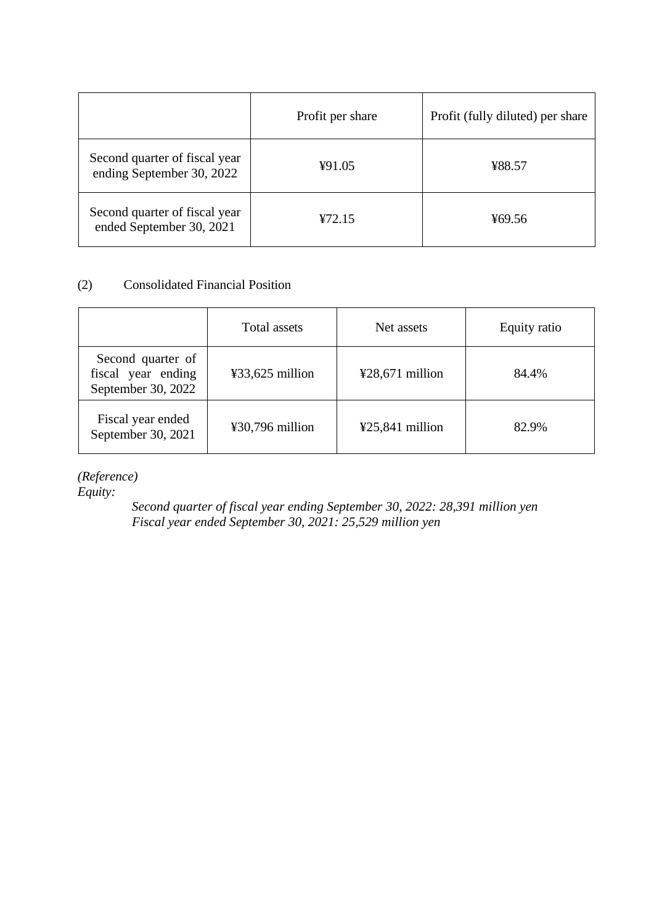|                                                            | Profit per share | Profit (fully diluted) per share |
|------------------------------------------------------------|------------------|----------------------------------|
| Second quarter of fiscal year<br>ending September 30, 2022 | ¥91.05           | ¥88.57                           |
| Second quarter of fiscal year<br>ended September 30, 2021  | 472.15           | ¥69.56                           |

# (2) Consolidated Financial Position

|                                                               | Total assets    | Net assets        | Equity ratio |
|---------------------------------------------------------------|-----------------|-------------------|--------------|
| Second quarter of<br>fiscal year ending<br>September 30, 2022 | ¥33,625 million | $428,671$ million | 84.4%        |
| Fiscal year ended<br>September 30, 2021                       | ¥30,796 million | $425,841$ million | 82.9%        |

*(Reference)* 

*Equity:*

*Second quarter of fiscal year ending September 30, 2022: 28,391 million yen Fiscal year ended September 30, 2021: 25,529 million yen*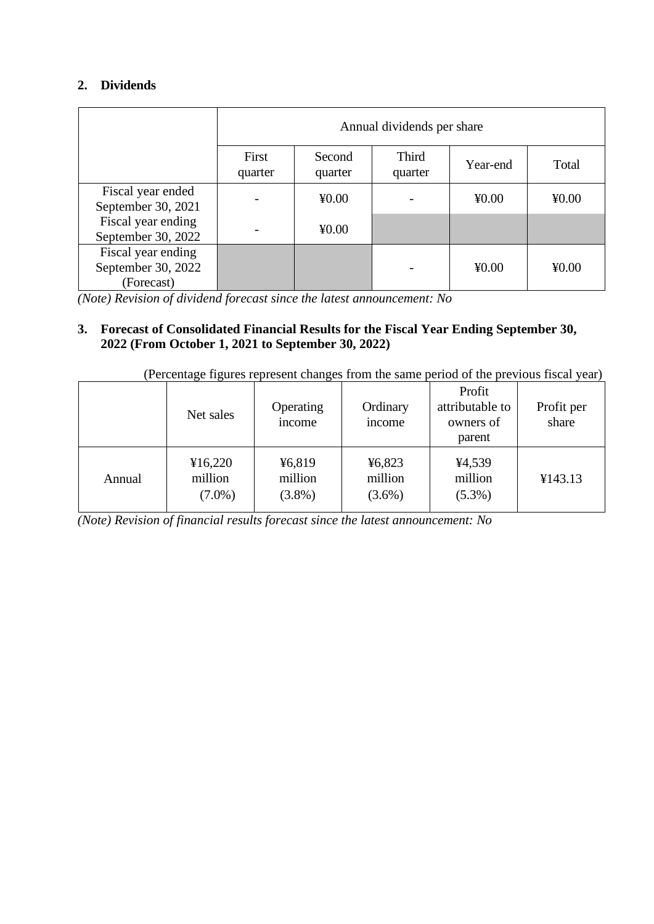# **2. Dividends**

|                                                        | Annual dividends per share |                   |                         |          |       |
|--------------------------------------------------------|----------------------------|-------------------|-------------------------|----------|-------|
|                                                        | First<br>quarter           | Second<br>quarter | <b>Third</b><br>quarter | Year-end | Total |
| Fiscal year ended<br>September 30, 2021                |                            | 40.00             |                         | 40.00    | 40.00 |
| Fiscal year ending<br>September 30, 2022               |                            | 40.00             |                         |          |       |
| Fiscal year ending<br>September 30, 2022<br>(Forecast) |                            |                   |                         | 40.00    | 40.00 |

*(Note) Revision of dividend forecast since the latest announcement: No*

# **3. Forecast of Consolidated Financial Results for the Fiscal Year Ending September 30, 2022 (From October 1, 2021 to September 30, 2022)**

| (Percentage figures represent changes from the same period of the previous fiscal year) |  |  |  |
|-----------------------------------------------------------------------------------------|--|--|--|
|                                                                                         |  |  |  |

|        | Net sales                       | Operating<br>income            | Ordinary<br>income             | Profit<br>attributable to<br>owners of<br>parent | Profit per<br>share |
|--------|---------------------------------|--------------------------------|--------------------------------|--------------------------------------------------|---------------------|
| Annual | ¥16,220<br>million<br>$(7.0\%)$ | ¥6,819<br>million<br>$(3.8\%)$ | ¥6,823<br>million<br>$(3.6\%)$ | ¥4,539<br>million<br>$(5.3\%)$                   | ¥143.13             |

*(Note) Revision of financial results forecast since the latest announcement: No*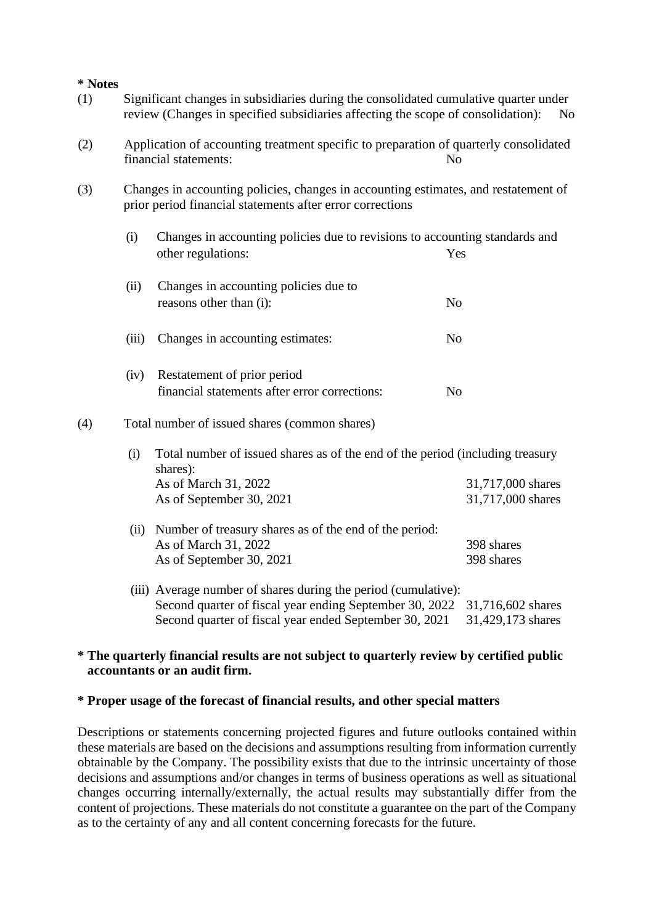**\* Notes**

- (1) Significant changes in subsidiaries during the consolidated cumulative quarter under review (Changes in specified subsidiaries affecting the scope of consolidation):
- (2) Application of accounting treatment specific to preparation of quarterly consolidated financial statements: No
- (3) Changes in accounting policies, changes in accounting estimates, and restatement of prior period financial statements after error corrections
	- (i) Changes in accounting policies due to revisions to accounting standards and other regulations: Yes

| (ii) | Changes in accounting policies due to |    |
|------|---------------------------------------|----|
|      | reasons other than (i):               | No |
|      |                                       |    |

- (iii) Changes in accounting estimates: No
- (iv) Restatement of prior period financial statements after error corrections: No

## (4) Total number of issued shares (common shares)

| (i) Total number of issued shares as of the end of the period (including treasury |                   |
|-----------------------------------------------------------------------------------|-------------------|
| shares):                                                                          |                   |
| As of March 31, 2022                                                              | 31,717,000 shares |
| As of September 30, 2021                                                          | 31,717,000 shares |
|                                                                                   |                   |

- (ii) Number of treasury shares as of the end of the period: As of March 31, 2022 398 shares As of September 30, 2021 398 shares
- (iii) Average number of shares during the period (cumulative): Second quarter of fiscal year ending September 30, 2022 31,716,602 shares Second quarter of fiscal year ended September 30, 2021 31,429,173 shares

## **\* The quarterly financial results are not subject to quarterly review by certified public accountants or an audit firm.**

#### **\* Proper usage of the forecast of financial results, and other special matters**

Descriptions or statements concerning projected figures and future outlooks contained within these materials are based on the decisions and assumptions resulting from information currently obtainable by the Company. The possibility exists that due to the intrinsic uncertainty of those decisions and assumptions and/or changes in terms of business operations as well as situational changes occurring internally/externally, the actual results may substantially differ from the content of projections. These materials do not constitute a guarantee on the part of the Company as to the certainty of any and all content concerning forecasts for the future.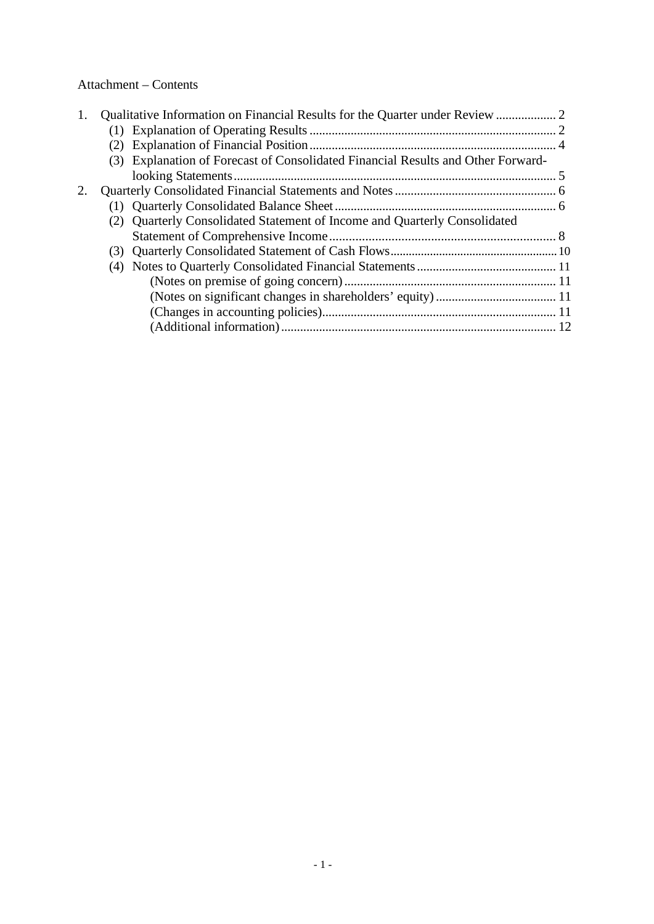# Attachment – Contents

| 1. |                                                                                  |  |
|----|----------------------------------------------------------------------------------|--|
|    |                                                                                  |  |
|    |                                                                                  |  |
|    | (3) Explanation of Forecast of Consolidated Financial Results and Other Forward- |  |
|    |                                                                                  |  |
| 2. |                                                                                  |  |
|    |                                                                                  |  |
|    | Quarterly Consolidated Statement of Income and Quarterly Consolidated<br>(2)     |  |
|    |                                                                                  |  |
|    | (3)                                                                              |  |
|    |                                                                                  |  |
|    |                                                                                  |  |
|    |                                                                                  |  |
|    |                                                                                  |  |
|    |                                                                                  |  |
|    |                                                                                  |  |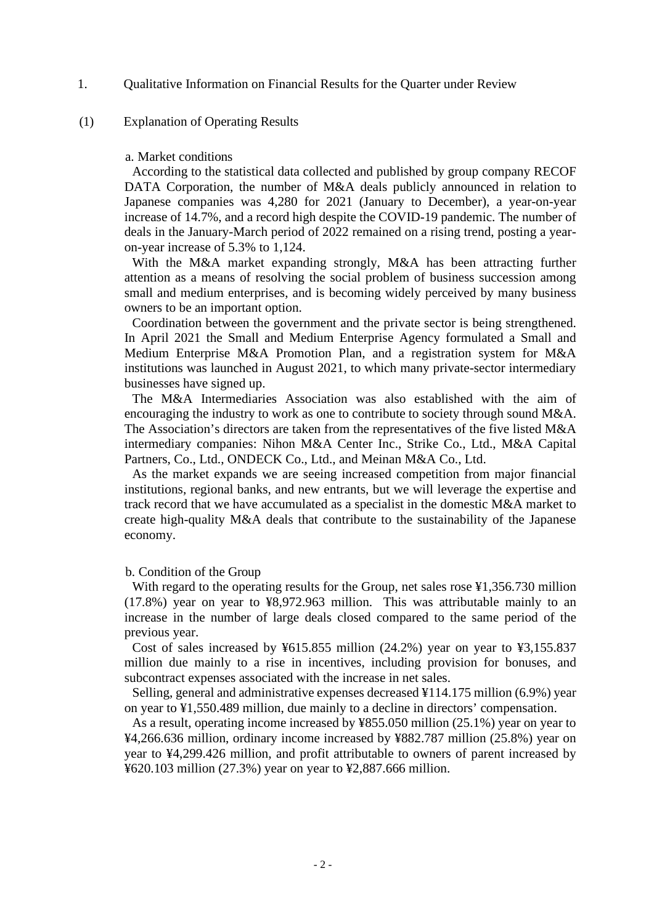1. Qualitative Information on Financial Results for the Quarter under Review

#### (1) Explanation of Operating Results

#### a. Market conditions

According to the statistical data collected and published by group company RECOF DATA Corporation, the number of M&A deals publicly announced in relation to Japanese companies was 4,280 for 2021 (January to December), a year-on-year increase of 14.7%, and a record high despite the COVID-19 pandemic. The number of deals in the January-March period of 2022 remained on a rising trend, posting a yearon-year increase of 5.3% to 1,124.

With the M&A market expanding strongly, M&A has been attracting further attention as a means of resolving the social problem of business succession among small and medium enterprises, and is becoming widely perceived by many business owners to be an important option.

Coordination between the government and the private sector is being strengthened. In April 2021 the Small and Medium Enterprise Agency formulated a Small and Medium Enterprise M&A Promotion Plan, and a registration system for M&A institutions was launched in August 2021, to which many private-sector intermediary businesses have signed up.

The M&A Intermediaries Association was also established with the aim of encouraging the industry to work as one to contribute to society through sound M&A. The Association's directors are taken from the representatives of the five listed M&A intermediary companies: Nihon M&A Center Inc., Strike Co., Ltd., M&A Capital Partners, Co., Ltd., ONDECK Co., Ltd., and Meinan M&A Co., Ltd.

As the market expands we are seeing increased competition from major financial institutions, regional banks, and new entrants, but we will leverage the expertise and track record that we have accumulated as a specialist in the domestic M&A market to create high-quality M&A deals that contribute to the sustainability of the Japanese economy.

#### b. Condition of the Group

With regard to the operating results for the Group, net sales rose \\$1,356.730 million (17.8%) year on year to ¥8,972.963 million. This was attributable mainly to an increase in the number of large deals closed compared to the same period of the previous year.

Cost of sales increased by ¥615.855 million (24.2%) year on year to ¥3,155.837 million due mainly to a rise in incentives, including provision for bonuses, and subcontract expenses associated with the increase in net sales.

Selling, general and administrative expenses decreased ¥114.175 million (6.9%) year on year to ¥1,550.489 million, due mainly to a decline in directors' compensation.

As a result, operating income increased by ¥855.050 million (25.1%) year on year to ¥4,266.636 million, ordinary income increased by ¥882.787 million (25.8%) year on year to ¥4,299.426 million, and profit attributable to owners of parent increased by ¥620.103 million (27.3%) year on year to ¥2,887.666 million.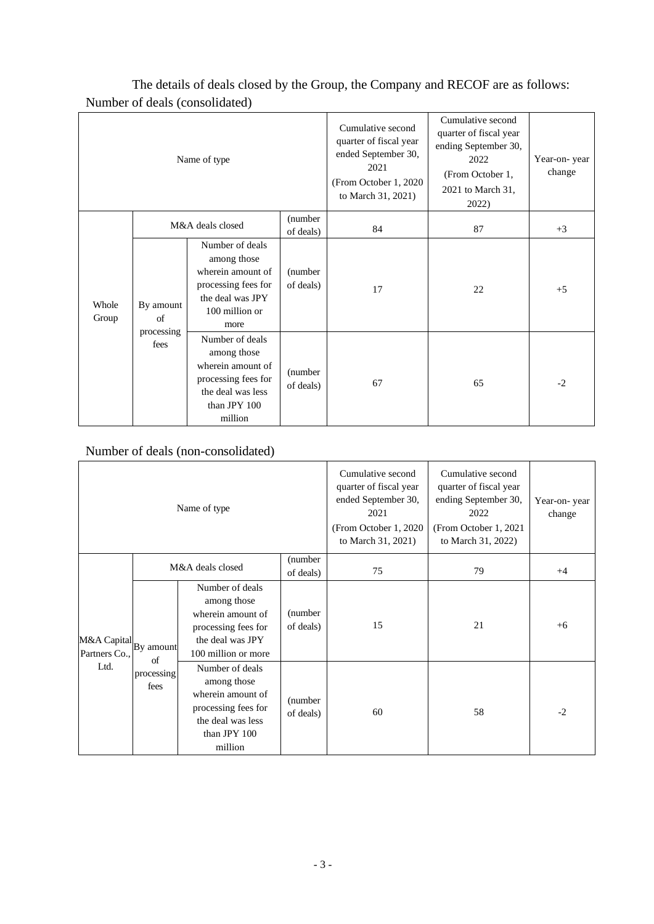| Name of type   |                    |                                                                                                                            |                       | Cumulative second<br>quarter of fiscal year<br>ended September 30,<br>2021<br>(From October 1, 2020<br>to March 31, 2021) | Cumulative second<br>quarter of fiscal year<br>ending September 30,<br>2022<br>(From October 1,<br>2021 to March 31,<br>2022) | Year-on-year<br>change |
|----------------|--------------------|----------------------------------------------------------------------------------------------------------------------------|-----------------------|---------------------------------------------------------------------------------------------------------------------------|-------------------------------------------------------------------------------------------------------------------------------|------------------------|
|                |                    | M&A deals closed                                                                                                           | (number<br>of deals)  | 84                                                                                                                        | 87                                                                                                                            | $+3$                   |
| Whole<br>Group | By amount<br>of    | Number of deals<br>among those<br>wherein amount of<br>processing fees for<br>the deal was JPY<br>100 million or<br>more   | (number)<br>of deals) | 17                                                                                                                        | 22                                                                                                                            | $+5$                   |
|                | processing<br>fees | Number of deals<br>among those<br>wherein amount of<br>processing fees for<br>the deal was less<br>than JPY 100<br>million | (number)<br>of deals) | 67                                                                                                                        | 65                                                                                                                            | $-2$                   |

The details of deals closed by the Group, the Company and RECOF are as follows: Number of deals (consolidated)

# Number of deals (non-consolidated)

| Name of type                           |                    |                                                                                                                            | Cumulative second<br>quarter of fiscal year<br>ended September 30,<br>2021<br>(From October 1, 2020)<br>to March 31, 2021) | Cumulative second<br>quarter of fiscal year<br>ending September 30,<br>2022<br>(From October 1, 2021)<br>to March 31, 2022) | Year-on-year<br>change |      |
|----------------------------------------|--------------------|----------------------------------------------------------------------------------------------------------------------------|----------------------------------------------------------------------------------------------------------------------------|-----------------------------------------------------------------------------------------------------------------------------|------------------------|------|
|                                        |                    | M&A deals closed                                                                                                           | (number)<br>of deals)                                                                                                      | 75                                                                                                                          | 79                     | $+4$ |
| M&A Capital By amount<br>Partners Co., | of                 | Number of deals<br>among those<br>wherein amount of<br>processing fees for<br>the deal was JPY<br>100 million or more      | (number)<br>of deals)                                                                                                      | 15                                                                                                                          | 21                     | $+6$ |
| Ltd.                                   | processing<br>fees | Number of deals<br>among those<br>wherein amount of<br>processing fees for<br>the deal was less<br>than JPY 100<br>million | (number)<br>of deals)                                                                                                      | 60                                                                                                                          | 58                     | $-2$ |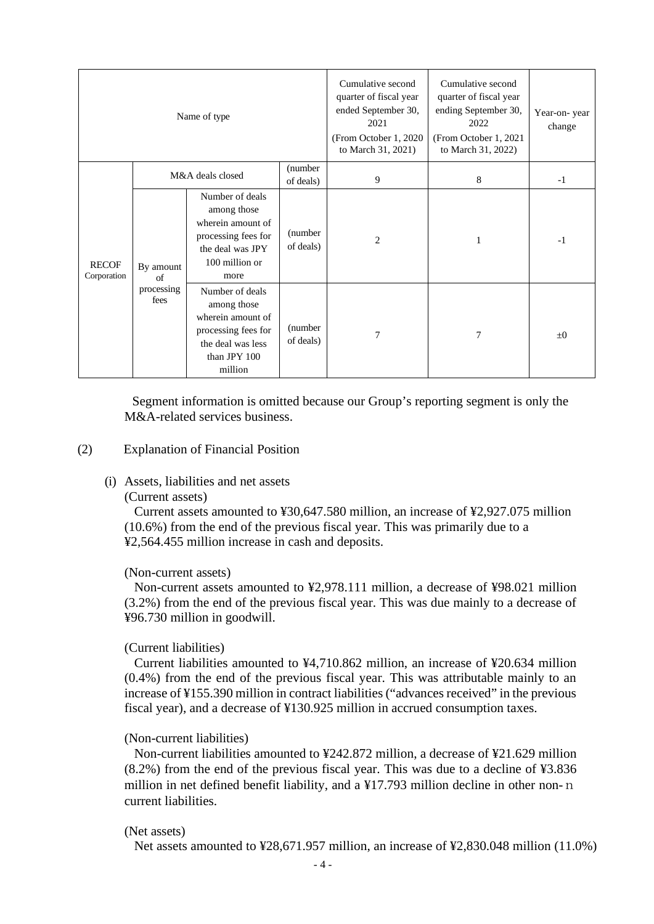|                             |                                                                                                                                                                                                                                                                                                         | Name of type          |                       | Cumulative second<br>quarter of fiscal year<br>ended September 30,<br>2021<br>(From October 1, 2020)<br>to March 31, 2021) | Cumulative second<br>quarter of fiscal year<br>ending September 30,<br>2022<br>(From October 1, 2021<br>to March 31, 2022) | Year-on-year<br>change |
|-----------------------------|---------------------------------------------------------------------------------------------------------------------------------------------------------------------------------------------------------------------------------------------------------------------------------------------------------|-----------------------|-----------------------|----------------------------------------------------------------------------------------------------------------------------|----------------------------------------------------------------------------------------------------------------------------|------------------------|
|                             |                                                                                                                                                                                                                                                                                                         | M&A deals closed      | (number)<br>of deals) | 9                                                                                                                          | 8                                                                                                                          | $-1$                   |
| <b>RECOF</b><br>Corporation | Number of deals<br>among those<br>wherein amount of<br>processing fees for<br>the deal was JPY<br>100 million or<br>By amount<br>more<br>$\sigma$ f<br>processing<br>Number of deals<br>fees<br>among those<br>wherein amount of<br>processing fees for<br>the deal was less<br>than JPY 100<br>million |                       | (number)<br>of deals) | $\overline{c}$                                                                                                             | 1                                                                                                                          | $-1$                   |
|                             |                                                                                                                                                                                                                                                                                                         | (number)<br>of deals) | 7                     | 7                                                                                                                          | $\pm 0$                                                                                                                    |                        |

Segment information is omitted because our Group's reporting segment is only the M&A-related services business.

#### (2) Explanation of Financial Position

- (i) Assets, liabilities and net assets
	- (Current assets)

Current assets amounted to ¥30,647.580 million, an increase of ¥2,927.075 million (10.6%) from the end of the previous fiscal year. This was primarily due to a ¥2,564.455 million increase in cash and deposits.

#### (Non-current assets)

Non-current assets amounted to ¥2,978.111 million, a decrease of ¥98.021 million (3.2%) from the end of the previous fiscal year. This was due mainly to a decrease of ¥96.730 million in goodwill.

#### (Current liabilities)

Current liabilities amounted to ¥4,710.862 million, an increase of ¥20.634 million (0.4%) from the end of the previous fiscal year. This was attributable mainly to an increase of ¥155.390 million in contract liabilities ("advances received" in the previous fiscal year), and a decrease of ¥130.925 million in accrued consumption taxes.

#### (Non-current liabilities)

Non-current liabilities amounted to ¥242.872 million, a decrease of ¥21.629 million (8.2%) from the end of the previous fiscal year. This was due to a decline of ¥3.836 million in net defined benefit liability, and a ¥17.793 million decline in other non-n current liabilities.

#### (Net assets)

Net assets amounted to ¥28,671.957 million, an increase of ¥2,830.048 million (11.0%)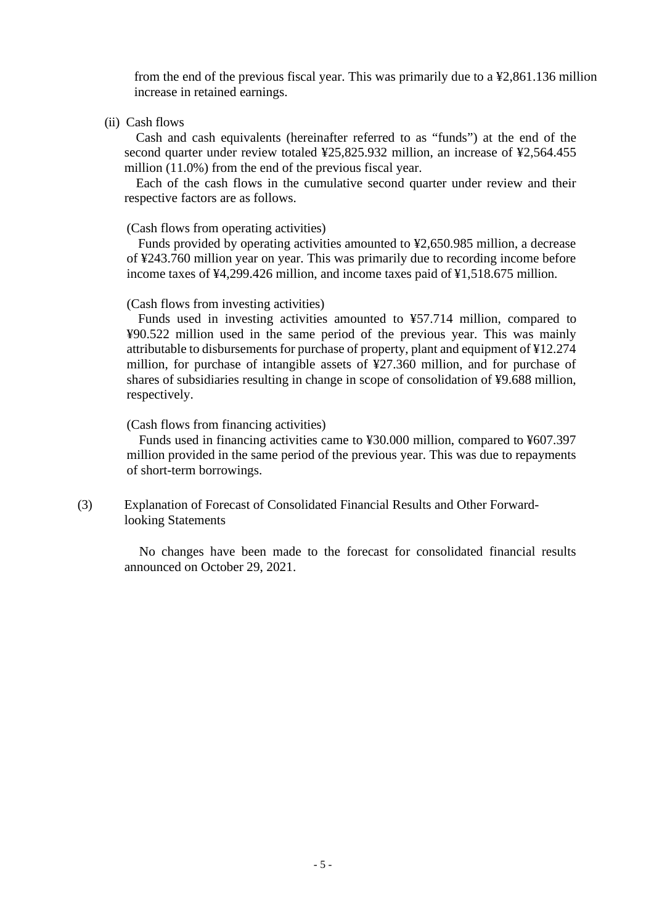from the end of the previous fiscal year. This was primarily due to a ¥2,861.136 million increase in retained earnings.

(ii) Cash flows

Cash and cash equivalents (hereinafter referred to as "funds") at the end of the second quarter under review totaled ¥25,825.932 million, an increase of ¥2,564.455 million (11.0%) from the end of the previous fiscal year.

Each of the cash flows in the cumulative second quarter under review and their respective factors are as follows.

## (Cash flows from operating activities)

Funds provided by operating activities amounted to ¥2,650.985 million, a decrease of ¥243.760 million year on year. This was primarily due to recording income before income taxes of ¥4,299.426 million, and income taxes paid of ¥1,518.675 million.

#### (Cash flows from investing activities)

Funds used in investing activities amounted to ¥57.714 million, compared to ¥90.522 million used in the same period of the previous year. This was mainly attributable to disbursements for purchase of property, plant and equipment of ¥12.274 million, for purchase of intangible assets of ¥27.360 million, and for purchase of shares of subsidiaries resulting in change in scope of consolidation of ¥9.688 million, respectively.

#### (Cash flows from financing activities)

Funds used in financing activities came to ¥30.000 million, compared to ¥607.397 million provided in the same period of the previous year. This was due to repayments of short-term borrowings.

(3) Explanation of Forecast of Consolidated Financial Results and Other Forwardlooking Statements

> No changes have been made to the forecast for consolidated financial results announced on October 29, 2021.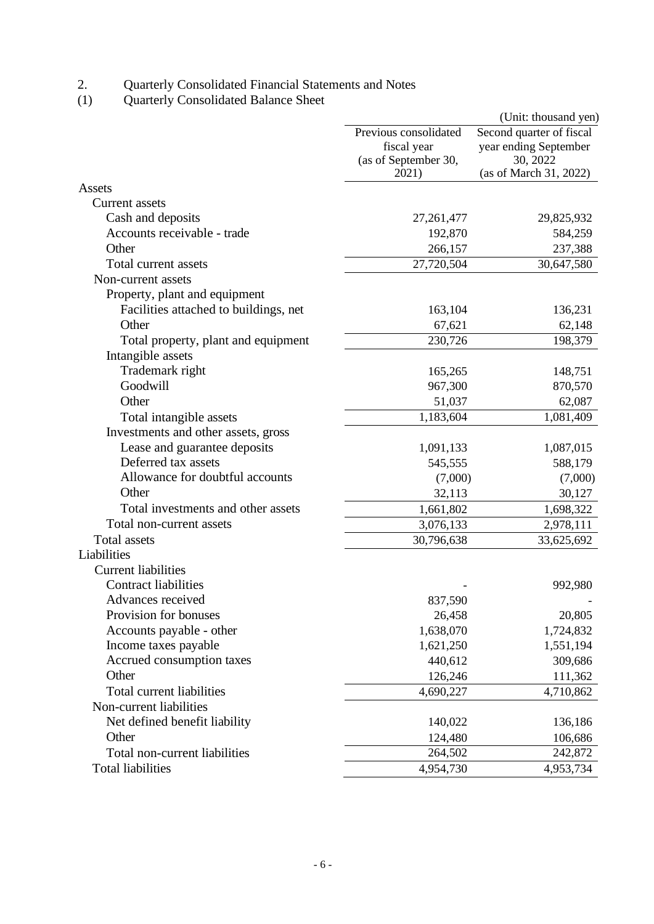2. Quarterly Consolidated Financial Statements and Notes

(1) Quarterly Consolidated Balance Sheet

|                                       |                                                                       | (Unit: thousand yen)                                                                    |
|---------------------------------------|-----------------------------------------------------------------------|-----------------------------------------------------------------------------------------|
|                                       | Previous consolidated<br>fiscal year<br>(as of September 30,<br>2021) | Second quarter of fiscal<br>year ending September<br>30, 2022<br>(as of March 31, 2022) |
| Assets                                |                                                                       |                                                                                         |
| <b>Current</b> assets                 |                                                                       |                                                                                         |
| Cash and deposits                     | 27, 261, 477                                                          | 29,825,932                                                                              |
| Accounts receivable - trade           | 192,870                                                               | 584,259                                                                                 |
| Other                                 | 266,157                                                               | 237,388                                                                                 |
| Total current assets                  | 27,720,504                                                            | 30,647,580                                                                              |
| Non-current assets                    |                                                                       |                                                                                         |
| Property, plant and equipment         |                                                                       |                                                                                         |
| Facilities attached to buildings, net | 163,104                                                               | 136,231                                                                                 |
| Other                                 | 67,621                                                                | 62,148                                                                                  |
| Total property, plant and equipment   | 230,726                                                               | 198,379                                                                                 |
| Intangible assets                     |                                                                       |                                                                                         |
| Trademark right                       | 165,265                                                               | 148,751                                                                                 |
| Goodwill                              | 967,300                                                               | 870,570                                                                                 |
| Other                                 | 51,037                                                                | 62,087                                                                                  |
| Total intangible assets               | 1,183,604                                                             | 1,081,409                                                                               |
| Investments and other assets, gross   |                                                                       |                                                                                         |
| Lease and guarantee deposits          | 1,091,133                                                             | 1,087,015                                                                               |
| Deferred tax assets                   | 545,555                                                               | 588,179                                                                                 |
| Allowance for doubtful accounts       | (7,000)                                                               | (7,000)                                                                                 |
| Other                                 | 32,113                                                                | 30,127                                                                                  |
| Total investments and other assets    | 1,661,802                                                             | 1,698,322                                                                               |
| Total non-current assets              | 3,076,133                                                             | 2,978,111                                                                               |
| <b>Total assets</b>                   | 30,796,638                                                            | 33,625,692                                                                              |
| Liabilities                           |                                                                       |                                                                                         |
| <b>Current liabilities</b>            |                                                                       |                                                                                         |
| <b>Contract liabilities</b>           |                                                                       | 992,980                                                                                 |
| Advances received                     | 837,590                                                               |                                                                                         |
| Provision for bonuses                 | 26,458                                                                | 20,805                                                                                  |
| Accounts payable - other              | 1,638,070                                                             | 1,724,832                                                                               |
| Income taxes payable                  | 1,621,250                                                             | 1,551,194                                                                               |
| Accrued consumption taxes             | 440,612                                                               | 309,686                                                                                 |
| Other                                 | 126,246                                                               | 111,362                                                                                 |
| Total current liabilities             | 4,690,227                                                             | 4,710,862                                                                               |
| Non-current liabilities               |                                                                       |                                                                                         |
| Net defined benefit liability         | 140,022                                                               | 136,186                                                                                 |
| Other                                 | 124,480                                                               | 106,686                                                                                 |
| Total non-current liabilities         | 264,502                                                               | 242,872                                                                                 |
| <b>Total liabilities</b>              | 4,954,730                                                             | 4,953,734                                                                               |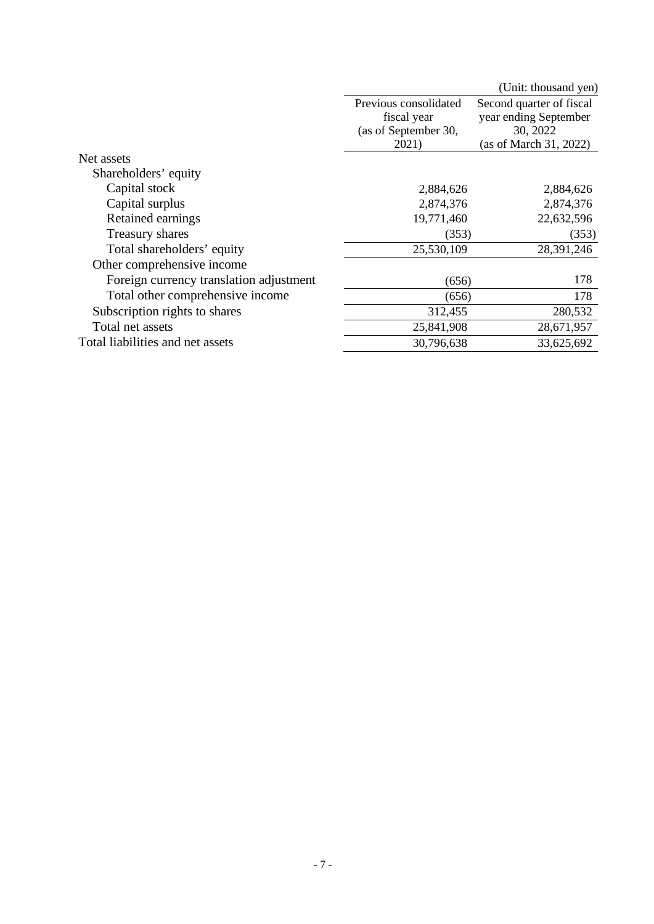|                                         |                       | (Unit: thousand yen)     |
|-----------------------------------------|-----------------------|--------------------------|
|                                         | Previous consolidated | Second quarter of fiscal |
|                                         | fiscal year           | year ending September    |
|                                         | (as of September 30,  | 30, 2022                 |
|                                         | 2021)                 | (as of March 31, 2022)   |
| Net assets                              |                       |                          |
| Shareholders' equity                    |                       |                          |
| Capital stock                           | 2,884,626             | 2,884,626                |
| Capital surplus                         | 2,874,376             | 2,874,376                |
| Retained earnings                       | 19,771,460            | 22,632,596               |
| Treasury shares                         | (353)                 | (353)                    |
| Total shareholders' equity              | 25,530,109            | 28,391,246               |
| Other comprehensive income              |                       |                          |
| Foreign currency translation adjustment | (656)                 | 178                      |
| Total other comprehensive income        | (656)                 | 178                      |
| Subscription rights to shares           | 312,455               | 280,532                  |
| Total net assets                        | 25,841,908            | 28,671,957               |
| Total liabilities and net assets        | 30,796,638            | 33,625,692               |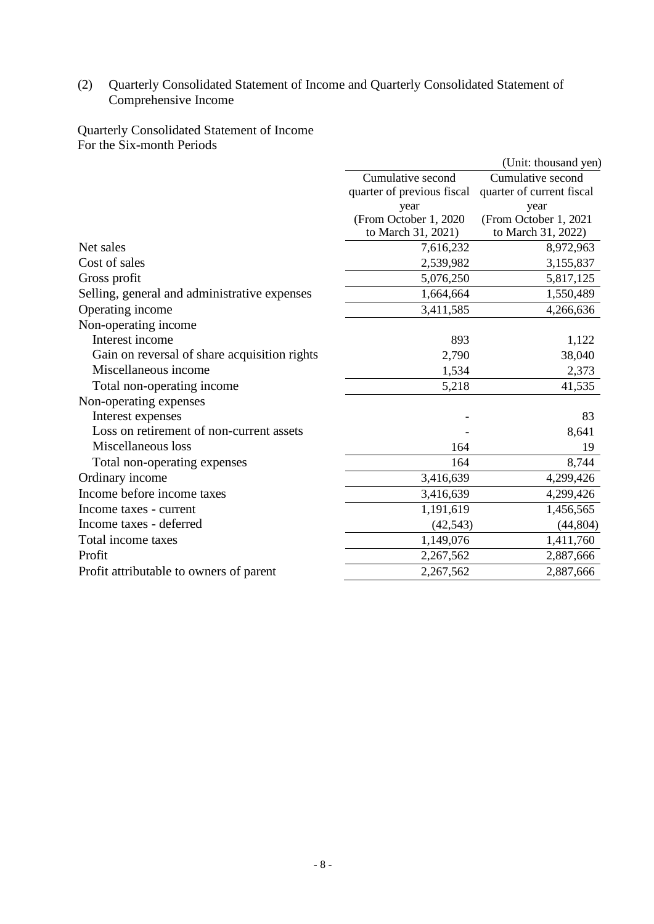## (2) Quarterly Consolidated Statement of Income and Quarterly Consolidated Statement of Comprehensive Income

Quarterly Consolidated Statement of Income For the Six-month Periods

|                                              |                            | (Unit: thousand yen)      |
|----------------------------------------------|----------------------------|---------------------------|
|                                              | Cumulative second          | Cumulative second         |
|                                              | quarter of previous fiscal | quarter of current fiscal |
|                                              | year                       | year                      |
|                                              | (From October 1, 2020)     | (From October 1, 2021     |
|                                              | to March 31, 2021)         | to March 31, 2022)        |
| Net sales                                    | 7,616,232                  | 8,972,963                 |
| Cost of sales                                | 2,539,982                  | 3,155,837                 |
| Gross profit                                 | 5,076,250                  | 5,817,125                 |
| Selling, general and administrative expenses | 1,664,664                  | 1,550,489                 |
| Operating income                             | 3,411,585                  | 4,266,636                 |
| Non-operating income                         |                            |                           |
| Interest income                              | 893                        | 1,122                     |
| Gain on reversal of share acquisition rights | 2,790                      | 38,040                    |
| Miscellaneous income                         | 1,534                      | 2,373                     |
| Total non-operating income                   | 5,218                      | 41,535                    |
| Non-operating expenses                       |                            |                           |
| Interest expenses                            |                            | 83                        |
| Loss on retirement of non-current assets     |                            | 8,641                     |
| Miscellaneous loss                           | 164                        | 19                        |
| Total non-operating expenses                 | 164                        | 8,744                     |
| Ordinary income                              | 3,416,639                  | 4,299,426                 |
| Income before income taxes                   | 3,416,639                  | 4,299,426                 |
| Income taxes - current                       | 1,191,619                  | 1,456,565                 |
| Income taxes - deferred                      | (42, 543)                  | (44, 804)                 |
| Total income taxes                           | 1,149,076                  | 1,411,760                 |
| Profit                                       | 2,267,562                  | 2,887,666                 |
| Profit attributable to owners of parent      | 2,267,562                  | 2,887,666                 |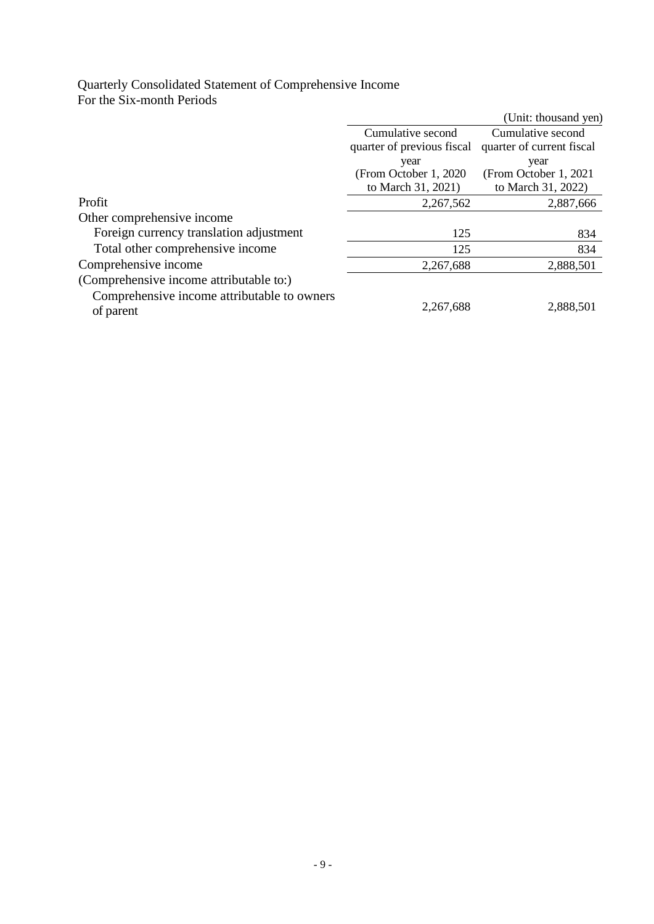# Quarterly Consolidated Statement of Comprehensive Income For the Six-month Periods

|                                                          |                            | (Unit: thousand yen)      |
|----------------------------------------------------------|----------------------------|---------------------------|
|                                                          | Cumulative second          | Cumulative second         |
|                                                          | quarter of previous fiscal | quarter of current fiscal |
|                                                          | year                       | year                      |
|                                                          | (From October 1, 2020)     | (From October 1, 2021     |
|                                                          | to March 31, 2021)         | to March 31, 2022)        |
| Profit                                                   | 2,267,562                  | 2,887,666                 |
| Other comprehensive income                               |                            |                           |
| Foreign currency translation adjustment                  | 125                        | 834                       |
| Total other comprehensive income                         | 125                        | 834                       |
| Comprehensive income                                     | 2,267,688                  | 2,888,501                 |
| (Comprehensive income attributable to:)                  |                            |                           |
| Comprehensive income attributable to owners<br>of parent | 2,267,688                  | 2,888,501                 |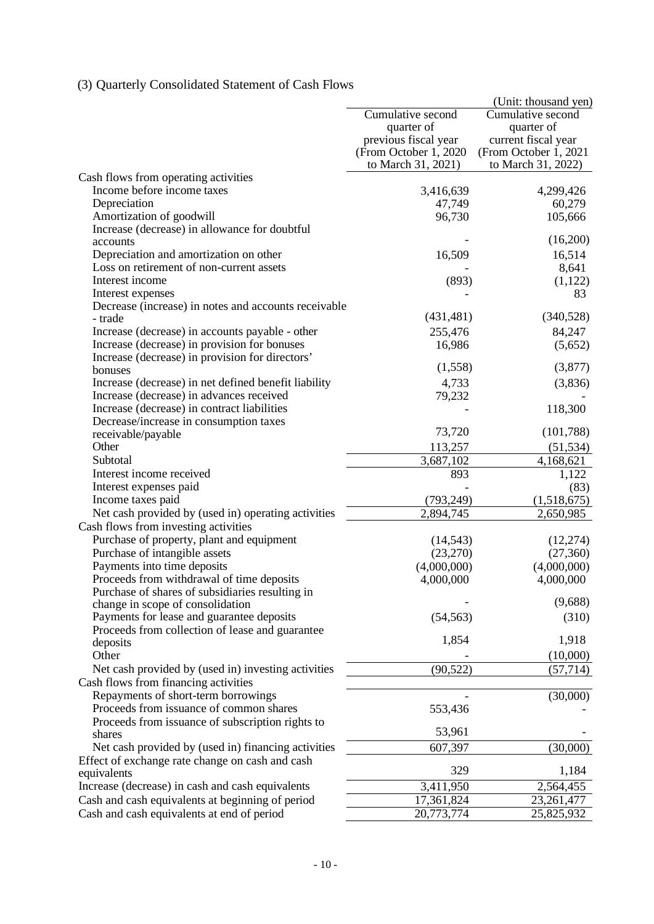# (3) Quarterly Consolidated Statement of Cash Flows

|                                                      |                        | (Unit: thousand yen)  |
|------------------------------------------------------|------------------------|-----------------------|
|                                                      | Cumulative second      | Cumulative second     |
|                                                      | quarter of             | quarter of            |
|                                                      | previous fiscal year   | current fiscal year   |
|                                                      | (From October 1, 2020) | (From October 1, 2021 |
|                                                      | to March 31, 2021)     | to March 31, 2022)    |
| Cash flows from operating activities                 |                        |                       |
| Income before income taxes                           | 3,416,639              | 4,299,426             |
| Depreciation                                         | 47,749                 | 60,279                |
| Amortization of goodwill                             | 96,730                 | 105,666               |
| Increase (decrease) in allowance for doubtful        |                        |                       |
| accounts                                             |                        | (16,200)              |
| Depreciation and amortization on other               | 16,509                 | 16,514                |
| Loss on retirement of non-current assets             |                        | 8,641                 |
| Interest income                                      | (893)                  | (1,122)               |
| Interest expenses                                    |                        | 83                    |
| Decrease (increase) in notes and accounts receivable |                        |                       |
| - trade                                              | (431, 481)             | (340,528)             |
| Increase (decrease) in accounts payable - other      | 255,476                | 84,247                |
| Increase (decrease) in provision for bonuses         | 16,986                 | (5,652)               |
| Increase (decrease) in provision for directors'      |                        |                       |
| bonuses                                              | (1,558)                | (3,877)               |
| Increase (decrease) in net defined benefit liability | 4,733                  | (3,836)               |
| Increase (decrease) in advances received             | 79,232                 |                       |
| Increase (decrease) in contract liabilities          |                        | 118,300               |
| Decrease/increase in consumption taxes               |                        |                       |
| receivable/payable                                   | 73,720                 | (101,788)             |
| Other                                                | 113,257                | (51, 534)             |
| Subtotal                                             | 3,687,102              | 4,168,621             |
| Interest income received                             | 893                    | 1,122                 |
| Interest expenses paid                               |                        | (83)                  |
| Income taxes paid                                    | (793, 249)             | (1,518,675)           |
| Net cash provided by (used in) operating activities  | 2,894,745              | 2,650,985             |
| Cash flows from investing activities                 |                        |                       |
| Purchase of property, plant and equipment            | (14, 543)              | (12, 274)             |
| Purchase of intangible assets                        | (23,270)               | (27,360)              |
| Payments into time deposits                          | (4,000,000)            | (4,000,000)           |
| Proceeds from withdrawal of time deposits            | 4,000,000              | 4,000,000             |
| Purchase of shares of subsidiaries resulting in      |                        |                       |
| change in scope of consolidation                     |                        | (9,688)               |
| Payments for lease and guarantee deposits            | (54, 563)              | (310)                 |
| Proceeds from collection of lease and guarantee      | 1,854                  | 1,918                 |
| deposits                                             |                        |                       |
| Other                                                |                        | (10,000)              |
| Net cash provided by (used in) investing activities  | (90, 522)              | (57, 714)             |
| Cash flows from financing activities                 |                        |                       |
| Repayments of short-term borrowings                  |                        | (30,000)              |
| Proceeds from issuance of common shares              | 553,436                |                       |
| Proceeds from issuance of subscription rights to     | 53,961                 |                       |
| shares                                               |                        |                       |
| Net cash provided by (used in) financing activities  | 607,397                | (30,000)              |
| Effect of exchange rate change on cash and cash      | 329                    | 1,184                 |
| equivalents                                          |                        |                       |
| Increase (decrease) in cash and cash equivalents     | 3,411,950              | 2,564,455             |
| Cash and cash equivalents at beginning of period     | 17,361,824             | 23, 261, 477          |
| Cash and cash equivalents at end of period           | 20,773,774             | 25,825,932            |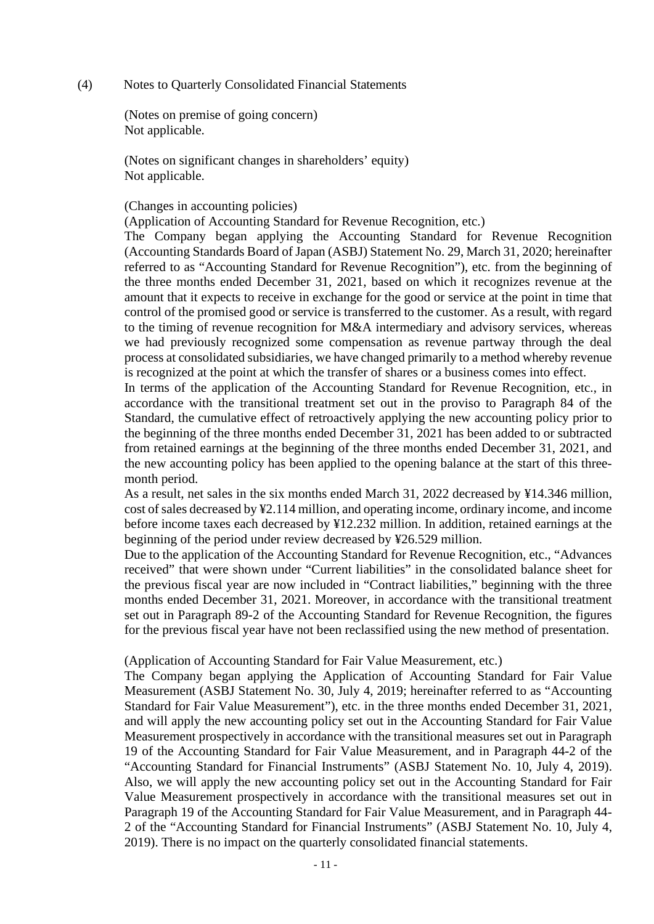#### (4) Notes to Quarterly Consolidated Financial Statements

(Notes on premise of going concern) Not applicable.

(Notes on significant changes in shareholders' equity) Not applicable.

#### (Changes in accounting policies)

(Application of Accounting Standard for Revenue Recognition, etc.)

The Company began applying the Accounting Standard for Revenue Recognition (Accounting Standards Board of Japan (ASBJ) Statement No. 29, March 31, 2020; hereinafter referred to as "Accounting Standard for Revenue Recognition"), etc. from the beginning of the three months ended December 31, 2021, based on which it recognizes revenue at the amount that it expects to receive in exchange for the good or service at the point in time that control of the promised good or service is transferred to the customer. As a result, with regard to the timing of revenue recognition for M&A intermediary and advisory services, whereas we had previously recognized some compensation as revenue partway through the deal process at consolidated subsidiaries, we have changed primarily to a method whereby revenue is recognized at the point at which the transfer of shares or a business comes into effect.

In terms of the application of the Accounting Standard for Revenue Recognition, etc., in accordance with the transitional treatment set out in the proviso to Paragraph 84 of the Standard, the cumulative effect of retroactively applying the new accounting policy prior to the beginning of the three months ended December 31, 2021 has been added to or subtracted from retained earnings at the beginning of the three months ended December 31, 2021, and the new accounting policy has been applied to the opening balance at the start of this threemonth period.

As a result, net sales in the six months ended March 31, 2022 decreased by ¥14.346 million, cost of sales decreased by ¥2.114 million, and operating income, ordinary income, and income before income taxes each decreased by ¥12.232 million. In addition, retained earnings at the beginning of the period under review decreased by ¥26.529 million.

Due to the application of the Accounting Standard for Revenue Recognition, etc., "Advances received" that were shown under "Current liabilities" in the consolidated balance sheet for the previous fiscal year are now included in "Contract liabilities," beginning with the three months ended December 31, 2021. Moreover, in accordance with the transitional treatment set out in Paragraph 89-2 of the Accounting Standard for Revenue Recognition, the figures for the previous fiscal year have not been reclassified using the new method of presentation.

#### (Application of Accounting Standard for Fair Value Measurement, etc.)

The Company began applying the Application of Accounting Standard for Fair Value Measurement (ASBJ Statement No. 30, July 4, 2019; hereinafter referred to as "Accounting Standard for Fair Value Measurement"), etc. in the three months ended December 31, 2021, and will apply the new accounting policy set out in the Accounting Standard for Fair Value Measurement prospectively in accordance with the transitional measures set out in Paragraph 19 of the Accounting Standard for Fair Value Measurement, and in Paragraph 44-2 of the "Accounting Standard for Financial Instruments" (ASBJ Statement No. 10, July 4, 2019). Also, we will apply the new accounting policy set out in the Accounting Standard for Fair Value Measurement prospectively in accordance with the transitional measures set out in Paragraph 19 of the Accounting Standard for Fair Value Measurement, and in Paragraph 44- 2 of the "Accounting Standard for Financial Instruments" (ASBJ Statement No. 10, July 4, 2019). There is no impact on the quarterly consolidated financial statements.